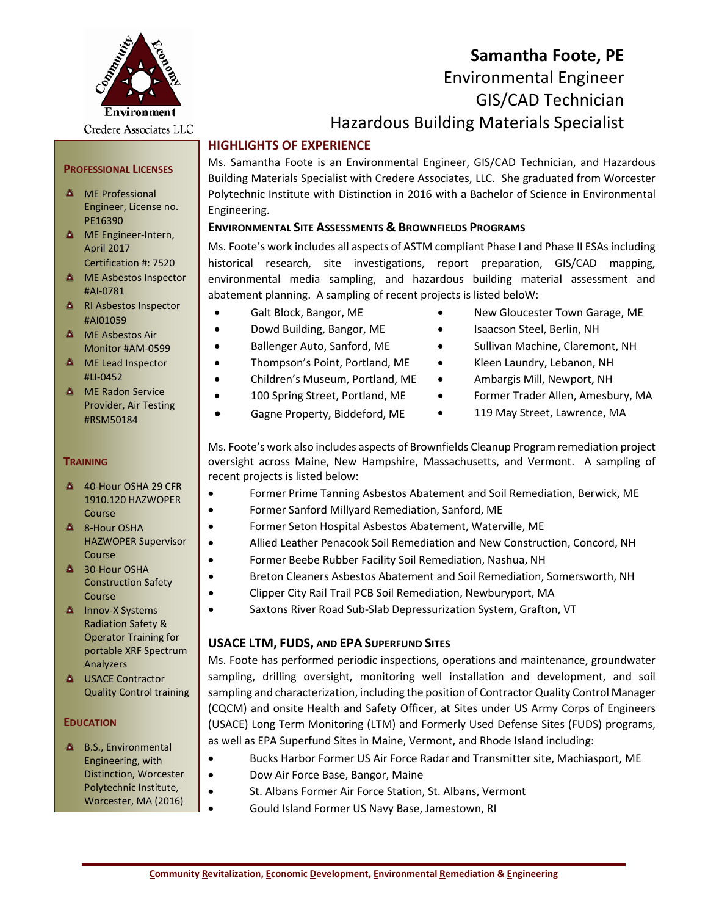

# **Samantha Foote, PE** Environmental Engineer GIS/CAD Technician Hazardous Building Materials Specialist

# **HIGHLIGHTS OF EXPERIENCE**

Ms. Samantha Foote is an Environmental Engineer, GIS/CAD Technician, and Hazardous Building Materials Specialist with Credere Associates, LLC. She graduated from Worcester Polytechnic Institute with Distinction in 2016 with a Bachelor of Science in Environmental Engineering.

## **ENVIRONMENTAL SITE ASSESSMENTS & BROWNFIELDS PROGRAMS**

Ms. Foote's work includes all aspects of ASTM compliant Phase I and Phase II ESAs including historical research, site investigations, report preparation, GIS/CAD mapping, environmental media sampling, and hazardous building material assessment and abatement planning. A sampling of recent projects is listed beloW:

- Galt Block, Bangor, ME
- Dowd Building, Bangor, ME
- Ballenger Auto, Sanford, ME
- Thompson's Point, Portland, ME
- Children's Museum, Portland, ME
- 100 Spring Street, Portland, ME
- Gagne Property, Biddeford, ME
- New Gloucester Town Garage, ME
- Isaacson Steel, Berlin, NH
- Sullivan Machine, Claremont, NH
- Kleen Laundry, Lebanon, NH
- Ambargis Mill, Newport, NH
- Former Trader Allen, Amesbury, MA
- 119 May Street, Lawrence, MA

Ms. Foote's work also includes aspects of Brownfields Cleanup Program remediation project oversight across Maine, New Hampshire, Massachusetts, and Vermont. A sampling of recent projects is listed below:

- Former Prime Tanning Asbestos Abatement and Soil Remediation, Berwick, ME
- Former Sanford Millyard Remediation, Sanford, ME
- Former Seton Hospital Asbestos Abatement, Waterville, ME
- Allied Leather Penacook Soil Remediation and New Construction, Concord, NH
- Former Beebe Rubber Facility Soil Remediation, Nashua, NH
- Breton Cleaners Asbestos Abatement and Soil Remediation, Somersworth, NH
- Clipper City Rail Trail PCB Soil Remediation, Newburyport, MA
- Saxtons River Road Sub-Slab Depressurization System, Grafton, VT

## **USACE LTM, FUDS, AND EPA SUPERFUND SITES**

Ms. Foote has performed periodic inspections, operations and maintenance, groundwater sampling, drilling oversight, monitoring well installation and development, and soil sampling and characterization, including the position of Contractor Quality Control Manager (CQCM) and onsite Health and Safety Officer, at Sites under US Army Corps of Engineers (USACE) Long Term Monitoring (LTM) and Formerly Used Defense Sites (FUDS) programs, as well as EPA Superfund Sites in Maine, Vermont, and Rhode Island including:

- Bucks Harbor Former US Air Force Radar and Transmitter site, Machiasport, ME
- Dow Air Force Base, Bangor, Maine
- St. Albans Former Air Force Station, St. Albans, Vermont
- Gould Island Former US Navy Base, Jamestown, RI

## **PROFESSIONAL LICENSES**

- **A** ME Professional Engineer, License no. PE16390
- **A** ME Engineer-Intern, April 2017 Certification #: 7520
- **A** ME Asbestos Inspector #AI-0781
- **A** RI Asbestos Inspector #AI01059
- **A** ME Asbestos Air Monitor #AM-0599
- **A** ME Lead Inspector #LI-0452
- **A** ME Radon Service Provider, Air Testing #RSM50184

#### **TRAINING**

- 40-Hour OSHA 29 CFR 1910.120 HAZWOPER Course
- ▲ 8-Hour OSHA HAZWOPER Supervisor Course
- $\triangle$  30-Hour OSHA Construction Safety Course
- **A** Innov-X Systems Radiation Safety & Operator Training for portable XRF Spectrum Analyzers
- **4** USACE Contractor Quality Control training

#### **EDUCATION**

**A** B.S., Environmental Engineering, with Distinction, Worcester Polytechnic Institute, Worcester, MA (2016)